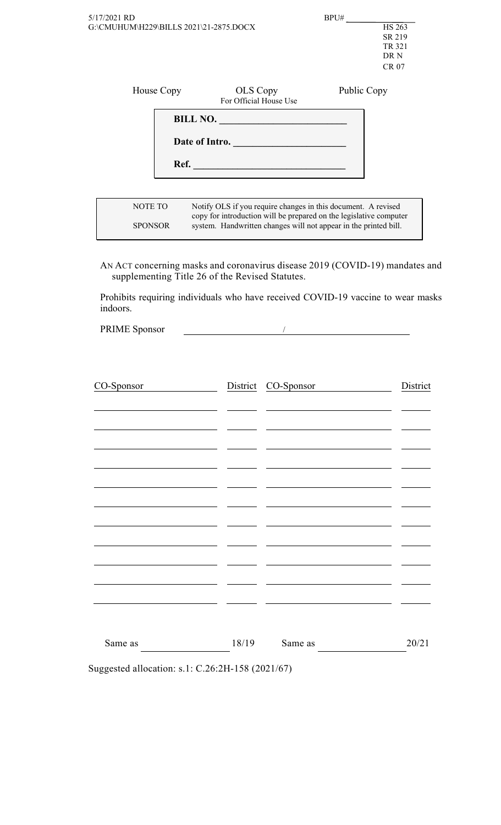| 5/17/2021 RD<br>G:\CMUHUM\H229\BILLS 2021\21-2875.DOCX |      |                                                                                                                                                                                                         | BPU#        | <b>HS 263</b><br>SR 219<br>TR 321<br>DR N<br>CR 07 |
|--------------------------------------------------------|------|---------------------------------------------------------------------------------------------------------------------------------------------------------------------------------------------------------|-------------|----------------------------------------------------|
| House Copy                                             |      | OLS Copy<br>For Official House Use                                                                                                                                                                      | Public Copy |                                                    |
|                                                        | Ref. | BILL NO.<br>Date of Intro.                                                                                                                                                                              |             |                                                    |
| NOTE TO<br><b>SPONSOR</b>                              |      | Notify OLS if you require changes in this document. A revised<br>copy for introduction will be prepared on the legislative computer<br>system. Handwritten changes will not appear in the printed bill. |             |                                                    |

AN ACT concerning masks and coronavirus disease 2019 (COVID-19) mandates and supplementing Title 26 of the Revised Statutes.

Prohibits requiring individuals who have received COVID-19 vaccine to wear masks indoors.

 PRIME Sponsor /

| CO-Sponsor |       | District CO-Sponsor | District |
|------------|-------|---------------------|----------|
|            |       |                     |          |
|            |       |                     |          |
|            |       |                     |          |
|            |       |                     |          |
|            |       |                     |          |
|            |       |                     |          |
|            |       |                     |          |
|            |       |                     |          |
|            |       |                     |          |
|            |       |                     |          |
|            |       |                     |          |
|            |       |                     |          |
|            |       |                     |          |
|            |       |                     |          |
| Same as    | 18/19 | Same as             | 20/21    |

Suggested allocation: s.1: C.26:2H-158 (2021/67)